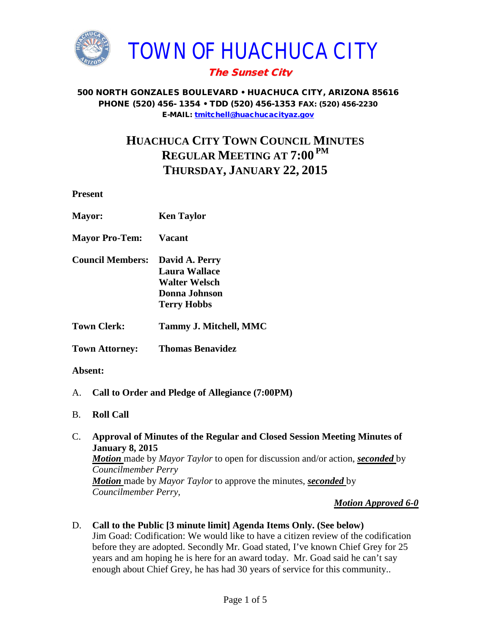

# The Sunset City

#### 500 NORTH GONZALES BOULEVARD • HUACHUCA CITY, ARIZONA 85616 PHONE (520) 456- 1354 • TDD (520) 456-1353 FAX: (520) 456-2230 E-MAIL: [tmitchell@huachucacityaz.gov](mailto:tmitchell@huachucacityaz.gov)

# **HUACHUCA CITY TOWN COUNCIL MINUTES REGULAR MEETING AT 7:00 PM THURSDAY, JANUARY 22, 2015**

**Present**

| <b>Mayor:</b>           | <b>Ken Taylor</b>                                                                                     |
|-------------------------|-------------------------------------------------------------------------------------------------------|
| <b>Mayor Pro-Tem:</b>   | <b>Vacant</b>                                                                                         |
| <b>Council Members:</b> | David A. Perry<br><b>Laura Wallace</b><br><b>Walter Welsch</b><br>Donna Johnson<br><b>Terry Hobbs</b> |
| <b>Town Clerk:</b>      | <b>Tammy J. Mitchell, MMC</b>                                                                         |
| <b>Town Attorney:</b>   | <b>Thomas Benavidez</b>                                                                               |

### **Absent:**

- A. **Call to Order and Pledge of Allegiance (7:00PM)**
- B. **Roll Call**
- C. **Approval of Minutes of the Regular and Closed Session Meeting Minutes of January 8, 2015** *Motion* made by *Mayor Taylor* to open for discussion and/or action, *seconded* by *Councilmember Perry Motion* made by *Mayor Taylor* to approve the minutes, *seconded* by *Councilmember Perry,*

#### *Motion Approved 6-0*

D. **Call to the Public [3 minute limit] Agenda Items Only. (See below)** Jim Goad: Codification: We would like to have a citizen review of the codification before they are adopted. Secondly Mr. Goad stated, I've known Chief Grey for 25 years and am hoping he is here for an award today. Mr. Goad said he can't say enough about Chief Grey, he has had 30 years of service for this community..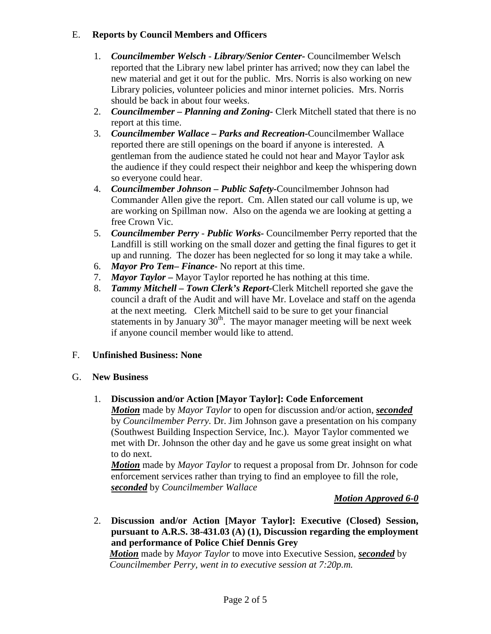## E. **Reports by Council Members and Officers**

- 1. *Councilmember Welsch - Library/Senior Center***-** Councilmember Welsch reported that the Library new label printer has arrived; now they can label the new material and get it out for the public. Mrs. Norris is also working on new Library policies, volunteer policies and minor internet policies. Mrs. Norris should be back in about four weeks.
- 2. *Councilmember* **–** *Planning and Zoning-* Clerk Mitchell stated that there is no report at this time.
- 3. *Councilmember Wallace* **–** *Parks and Recreation***-**Councilmember Wallace reported there are still openings on the board if anyone is interested. A gentleman from the audience stated he could not hear and Mayor Taylor ask the audience if they could respect their neighbor and keep the whispering down so everyone could hear.
- 4. *Councilmember Johnson – Public Safety-*Councilmember Johnson had Commander Allen give the report. Cm. Allen stated our call volume is up, we are working on Spillman now. Also on the agenda we are looking at getting a free Crown Vic.
- 5. *Councilmember Perry Public Works-* Councilmember Perry reported that the Landfill is still working on the small dozer and getting the final figures to get it up and running. The dozer has been neglected for so long it may take a while.
- 6. *Mayor Pro Tem***–** *Finance-* No report at this time.
- 7. *Mayor Taylor –* Mayor Taylor reported he has nothing at this time.
- 8. *Tammy Mitchell – Town Clerk's Report-*Clerk Mitchell reported she gave the council a draft of the Audit and will have Mr. Lovelace and staff on the agenda at the next meeting. Clerk Mitchell said to be sure to get your financial statements in by January  $30<sup>th</sup>$ . The mayor manager meeting will be next week if anyone council member would like to attend.

### F. **Unfinished Business: None**

### G. **New Business**

### 1. **Discussion and/or Action [Mayor Taylor]: Code Enforcement**

*Motion* made by *Mayor Taylor* to open for discussion and/or action, *seconded* by *Councilmember Perry.* Dr. Jim Johnson gave a presentation on his company (Southwest Building Inspection Service, Inc.). Mayor Taylor commented we met with Dr. Johnson the other day and he gave us some great insight on what to do next.

*Motion* made by *Mayor Taylor* to request a proposal from Dr. Johnson for code enforcement services rather than trying to find an employee to fill the role, *seconded* by *Councilmember Wallace*

### *Motion Approved 6-0*

2. **Discussion and/or Action [Mayor Taylor]: Executive (Closed) Session, pursuant to A.R.S. 38-431.03 (A) (1), Discussion regarding the employment and performance of Police Chief Dennis Grey**

*Motion* made by *Mayor Taylor* to move into Executive Session, *seconded* by *Councilmember Perry, went in to executive session at 7:20p.m.*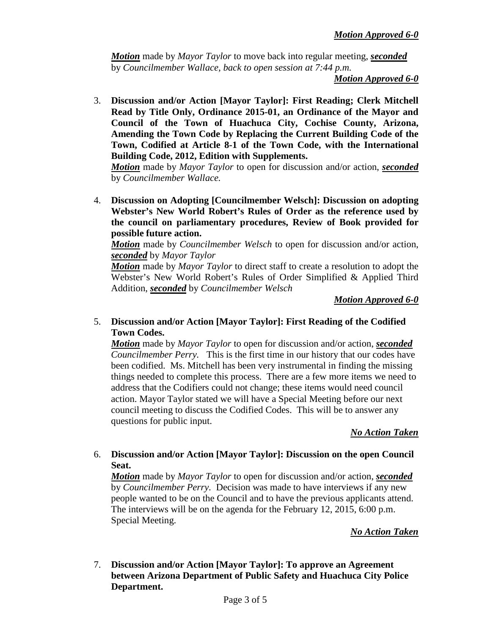*Motion* made by *Mayor Taylor* to move back into regular meeting, *seconded* by *Councilmember Wallace, back to open session at 7:44 p.m.*

*Motion Approved 6-0* 

3. **Discussion and/or Action [Mayor Taylor]: First Reading; Clerk Mitchell Read by Title Only, Ordinance 2015-01, an Ordinance of the Mayor and Council of the Town of Huachuca City, Cochise County, Arizona, Amending the Town Code by Replacing the Current Building Code of the Town, Codified at Article 8-1 of the Town Code, with the International Building Code, 2012, Edition with Supplements.** 

*Motion* made by *Mayor Taylor* to open for discussion and/or action, *seconded* by *Councilmember Wallace.* 

4. **Discussion on Adopting [Councilmember Welsch]: Discussion on adopting Webster's New World Robert's Rules of Order as the reference used by the council on parliamentary procedures, Review of Book provided for possible future action.**

*Motion* made by *Councilmember Welsch* to open for discussion and/or action, *seconded* by *Mayor Taylor*

*Motion* made by *Mayor Taylor* to direct staff to create a resolution to adopt the Webster's New World Robert's Rules of Order Simplified & Applied Third Addition, *seconded* by *Councilmember Welsch*

*Motion Approved 6-0*

5. **Discussion and/or Action [Mayor Taylor]: First Reading of the Codified Town Codes.** 

*Motion* made by *Mayor Taylor* to open for discussion and/or action, *seconded Councilmember Perry.* This is the first time in our history that our codes have been codified. Ms. Mitchell has been very instrumental in finding the missing things needed to complete this process. There are a few more items we need to address that the Codifiers could not change; these items would need council action. Mayor Taylor stated we will have a Special Meeting before our next council meeting to discuss the Codified Codes. This will be to answer any questions for public input.

*No Action Taken*

#### 6. **Discussion and/or Action [Mayor Taylor]: Discussion on the open Council Seat.**

*Motion* made by *Mayor Taylor* to open for discussion and/or action, *seconded* by *Councilmember Perry.* Decision was made to have interviews if any new people wanted to be on the Council and to have the previous applicants attend. The interviews will be on the agenda for the February 12, 2015, 6:00 p.m. Special Meeting.

*No Action Taken*

7. **Discussion and/or Action [Mayor Taylor]: To approve an Agreement between Arizona Department of Public Safety and Huachuca City Police Department.**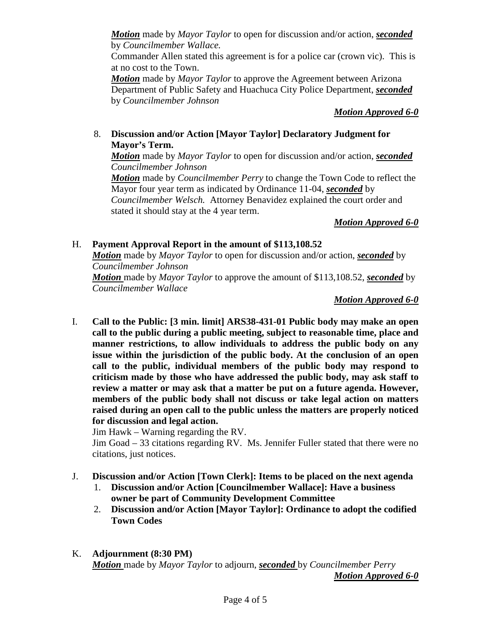*Motion* made by *Mayor Taylor* to open for discussion and/or action, *seconded* by *Councilmember Wallace.*

Commander Allen stated this agreement is for a police car (crown vic). This is at no cost to the Town.

*Motion* made by *Mayor Taylor* to approve the Agreement between Arizona Department of Public Safety and Huachuca City Police Department, *seconded* by *Councilmember Johnson*

*Motion Approved 6-0*

## 8. **Discussion and/or Action [Mayor Taylor] Declaratory Judgment for Mayor's Term.**

*Motion* made by *Mayor Taylor* to open for discussion and/or action, *seconded Councilmember Johnson*

*Motion* made by *Councilmember Perry* to change the Town Code to reflect the Mayor four year term as indicated by Ordinance 11-04, *seconded* by *Councilmember Welsch.* Attorney Benavidez explained the court order and stated it should stay at the 4 year term.

*Motion Approved 6-0*

## H. **Payment Approval Report in the amount of \$113,108.52**

*Motion* made by *Mayor Taylor* to open for discussion and/or action, *seconded* by *Councilmember Johnson Motion* made by *Mayor Taylor* to approve the amount of \$113,108.52, *seconded* by

*Councilmember Wallace*

*Motion Approved 6-0*

I. **Call to the Public: [3 min. limit] ARS38-431-01 Public body may make an open call to the public during a public meeting, subject to reasonable time, place and manner restrictions, to allow individuals to address the public body on any issue within the jurisdiction of the public body. At the conclusion of an open call to the public, individual members of the public body may respond to criticism made by those who have addressed the public body, may ask staff to review a matter or may ask that a matter be put on a future agenda. However, members of the public body shall not discuss or take legal action on matters raised during an open call to the public unless the matters are properly noticed for discussion and legal action.**

Jim Hawk – Warning regarding the RV.

Jim Goad – 33 citations regarding RV. Ms. Jennifer Fuller stated that there were no citations, just notices.

- J. **Discussion and/or Action [Town Clerk]: Items to be placed on the next agenda**
	- 1. **Discussion and/or Action [Councilmember Wallace]: Have a business owner be part of Community Development Committee**
	- 2. **Discussion and/or Action [Mayor Taylor]: Ordinance to adopt the codified Town Codes**
- K. **Adjournment (8:30 PM)** *Motion* made by *Mayor Taylor* to adjourn, *seconded* by *Councilmember Perry Motion Approved 6-0*